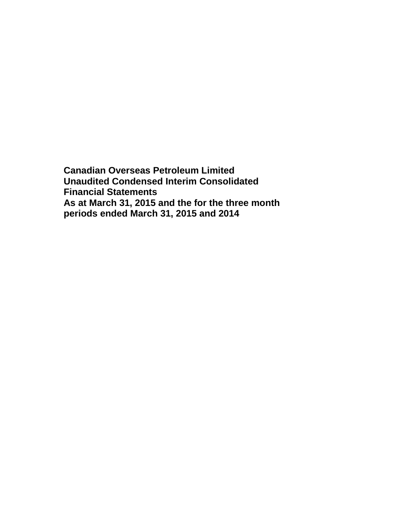**Canadian Overseas Petroleum Limited Unaudited Condensed Interim Consolidated Financial Statements As at March 31, 2015 and the for the three month periods ended March 31, 2015 and 2014**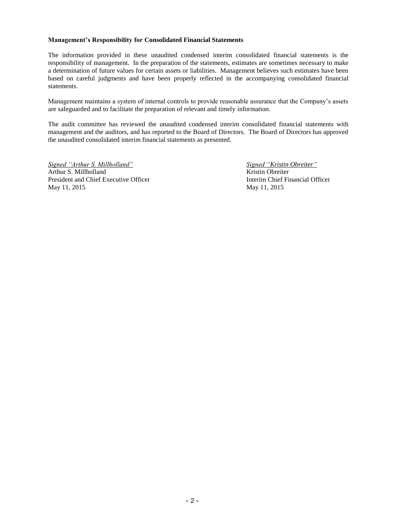#### **Management's Responsibility for Consolidated Financial Statements**

The information provided in these unaudited condensed interim consolidated financial statements is the responsibility of management. In the preparation of the statements, estimates are sometimes necessary to make a determination of future values for certain assets or liabilities. Management believes such estimates have been based on careful judgments and have been properly reflected in the accompanying consolidated financial statements.

Management maintains a system of internal controls to provide reasonable assurance that the Company's assets are safeguarded and to facilitate the preparation of relevant and timely information.

The audit committee has reviewed the unaudited condensed interim consolidated financial statements with management and the auditors, and has reported to the Board of Directors. The Board of Directors has approved the unaudited consolidated interim financial statements as presented.

*Signed "Arthur S. Millholland" Signed "Kristin Obreiter"* Arthur S. Millholland Kristin Obreiter President and Chief Executive Officer **Interim Chief Financial Officer Interim Chief Financial Officer** May 11, 2015 May 11, 2015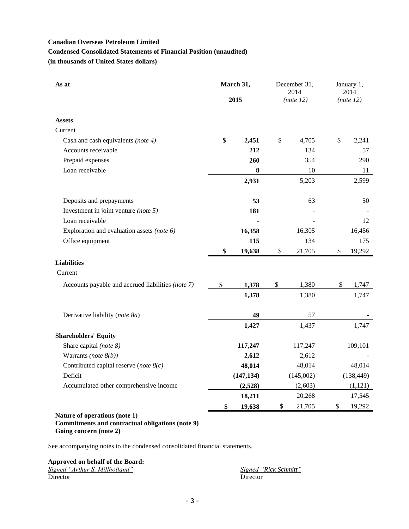# **Condensed Consolidated Statements of Financial Position (unaudited)**

**(in thousands of United States dollars)**

| As at                                             | March 31,    |      | December 31,<br>2014 | January 1,<br>2014 |
|---------------------------------------------------|--------------|------|----------------------|--------------------|
|                                                   | 2015         |      | (note 12)            | (note 12)          |
|                                                   |              |      |                      |                    |
| <b>Assets</b>                                     |              |      |                      |                    |
| Current                                           |              |      |                      |                    |
| Cash and cash equivalents (note 4)                | \$<br>2,451  | \$   | 4,705                | \$<br>2,241        |
| Accounts receivable                               | 212          |      | 134                  | 57                 |
| Prepaid expenses                                  | 260          |      | 354                  | 290                |
| Loan receivable                                   | 8            |      | 10                   | 11                 |
|                                                   | 2,931        |      | 5,203                | 2,599              |
| Deposits and prepayments                          | 53           |      | 63                   | 50                 |
| Investment in joint venture (note 5)              | 181          |      |                      |                    |
| Loan receivable                                   |              |      |                      | 12                 |
| Exploration and evaluation assets (note 6)        | 16,358       |      | 16,305               | 16,456             |
| Office equipment                                  | 115          |      | 134                  | 175                |
|                                                   | \$<br>19,638 | \$   | 21,705               | \$<br>19,292       |
| <b>Liabilities</b>                                |              |      |                      |                    |
| Current                                           |              |      |                      |                    |
| Accounts payable and accrued liabilities (note 7) | \$<br>1,378  | \$   | 1,380                | \$<br>1,747        |
|                                                   | 1,378        |      | 1,380                | 1,747              |
| Derivative liability (note 8a)                    | 49           |      | 57                   |                    |
|                                                   | 1,427        |      | 1,437                | 1,747              |
| <b>Shareholders' Equity</b>                       |              |      |                      |                    |
| Share capital (note 8)                            | 117,247      |      | 117,247              | 109,101            |
| Warrants (note $8(b)$ )                           | 2,612        |      | 2,612                |                    |
| Contributed capital reserve (note $8(c)$          | 48,014       |      | 48,014               | 48,014             |
| Deficit                                           | (147, 134)   |      | (145,002)            | (138, 449)         |
| Accumulated other comprehensive income            | (2,528)      |      | (2,603)              | (1,121)            |
|                                                   | 18,211       |      | 20,268               | 17,545             |
|                                                   | \$<br>19,638 | $\$$ | 21,705               | \$<br>19,292       |
| Nature of operations (note 1)                     |              |      |                      |                    |

#### **Commitments and contractual obligations (note 9) Going concern (note 2)**

See accompanying notes to the condensed consolidated financial statements.

# **Approved on behalf of the Board:**

| Signed "Arthur S. Millholland" | Signed "Rick Schmitt" |
|--------------------------------|-----------------------|
| Director                       | Director              |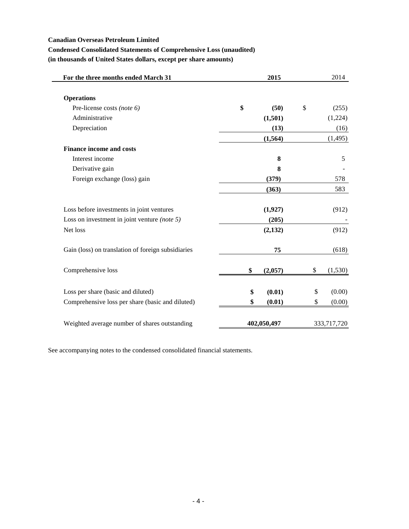$\qquad \qquad$ 

# **Condensed Consolidated Statements of Comprehensive Loss (unaudited)**

**(in thousands of United States dollars, except per share amounts)**

| For the three months ended March 31                | 2015          | 2014          |
|----------------------------------------------------|---------------|---------------|
|                                                    |               |               |
| <b>Operations</b>                                  |               |               |
| Pre-license costs (note 6)                         | \$<br>(50)    | \$<br>(255)   |
| Administrative                                     | (1,501)       | (1,224)       |
| Depreciation                                       | (13)          | (16)          |
|                                                    | (1, 564)      | (1, 495)      |
| <b>Finance income and costs</b>                    |               |               |
| Interest income                                    | 8             | 5             |
| Derivative gain                                    | 8             |               |
| Foreign exchange (loss) gain                       | (379)         | 578           |
|                                                    | (363)         | 583           |
| Loss before investments in joint ventures          | (1,927)       | (912)         |
| Loss on investment in joint venture (note $5$ )    | (205)         |               |
| Net loss                                           | (2,132)       | (912)         |
| Gain (loss) on translation of foreign subsidiaries | 75            | (618)         |
| Comprehensive loss                                 | \$<br>(2,057) | \$<br>(1,530) |
|                                                    |               |               |
| Loss per share (basic and diluted)                 | \$<br>(0.01)  | \$<br>(0.00)  |
| Comprehensive loss per share (basic and diluted)   | \$<br>(0.01)  | \$<br>(0.00)  |
| Weighted average number of shares outstanding      | 402,050,497   | 333,717,720   |

See accompanying notes to the condensed consolidated financial statements.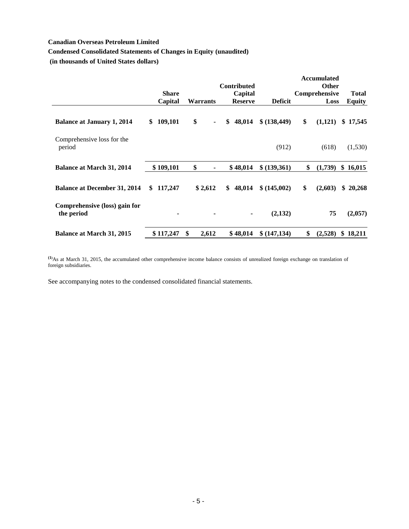# **Condensed Consolidated Statements of Changes in Equity (unaudited)**

**(in thousands of United States dollars)**

|                                             |                |                 |                    |                | <b>Accumulated</b> |               |
|---------------------------------------------|----------------|-----------------|--------------------|----------------|--------------------|---------------|
|                                             |                |                 | <b>Contributed</b> |                | <b>Other</b>       |               |
|                                             | <b>Share</b>   |                 | Capital            |                | Comprehensive      | <b>Total</b>  |
|                                             | Capital        | <b>Warrants</b> | <b>Reserve</b>     | <b>Deficit</b> | Loss               | <b>Equity</b> |
| <b>Balance at January 1, 2014</b>           | 109,101<br>\$  | \$<br>٠         | \$<br>48,014       | \$ (138, 449)  | \$<br>(1,121)      | 17,545<br>\$  |
| Comprehensive loss for the<br>period        |                |                 |                    | (912)          | (618)              | (1,530)       |
| <b>Balance at March 31, 2014</b>            | \$109,101      | \$              | \$48,014           | \$ (139,361)   | \$<br>(1,739)      | \$16,015      |
| <b>Balance at December 31, 2014</b>         | 117,247<br>\$  | \$2,612         | \$<br>48,014       | \$ (145,002)   | \$<br>(2,603)      | \$<br>20,268  |
| Comprehensive (loss) gain for<br>the period | $\blacksquare$ | ۰               | ۰                  | (2,132)        | 75                 | (2,057)       |
| <b>Balance at March 31, 2015</b>            | \$117,247      | \$<br>2,612     | \$48,014           | \$ (147, 134)  | \$<br>(2,528)      | \$<br>18,211  |

**(1)**As at March 31, 2015, the accumulated other comprehensive income balance consists of unrealized foreign exchange on translation of foreign subsidiaries.

See accompanying notes to the condensed consolidated financial statements.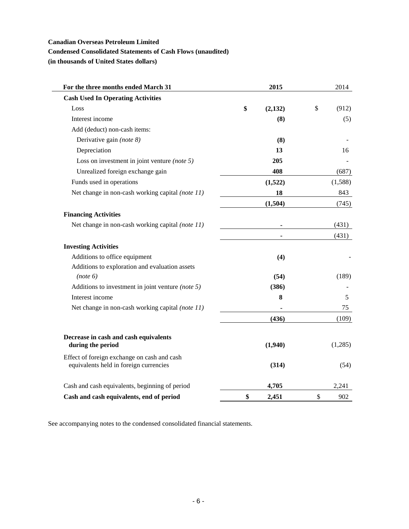# **Condensed Consolidated Statements of Cash Flows (unaudited)**

**(in thousands of United States dollars)**

| For the three months ended March 31                                                   | 2015          | 2014        |
|---------------------------------------------------------------------------------------|---------------|-------------|
| <b>Cash Used In Operating Activities</b>                                              |               |             |
| Loss                                                                                  | \$<br>(2,132) | \$<br>(912) |
| Interest income                                                                       | (8)           | (5)         |
| Add (deduct) non-cash items:                                                          |               |             |
| Derivative gain (note 8)                                                              | (8)           |             |
| Depreciation                                                                          | 13            | 16          |
| Loss on investment in joint venture (note $5$ )                                       | 205           |             |
| Unrealized foreign exchange gain                                                      | 408           | (687)       |
| Funds used in operations                                                              | (1,522)       | (1,588)     |
| Net change in non-cash working capital (note 11)                                      | 18            | 843         |
|                                                                                       | (1,504)       | (745)       |
| <b>Financing Activities</b>                                                           |               |             |
| Net change in non-cash working capital (note 11)                                      |               | (431)       |
|                                                                                       |               | (431)       |
| <b>Investing Activities</b>                                                           |               |             |
| Additions to office equipment                                                         | (4)           |             |
| Additions to exploration and evaluation assets                                        |               |             |
| (note 6)                                                                              | (54)          | (189)       |
| Additions to investment in joint venture (note $5$ )                                  | (386)         |             |
| Interest income                                                                       | 8             | 5           |
| Net change in non-cash working capital (note 11)                                      |               | 75          |
|                                                                                       | (436)         | (109)       |
| Decrease in cash and cash equivalents<br>during the period                            | (1,940)       | (1,285)     |
|                                                                                       |               |             |
| Effect of foreign exchange on cash and cash<br>equivalents held in foreign currencies | (314)         | (54)        |
| Cash and cash equivalents, beginning of period                                        | 4,705         | 2,241       |
| Cash and cash equivalents, end of period                                              | \$<br>2,451   | \$<br>902   |

See accompanying notes to the condensed consolidated financial statements.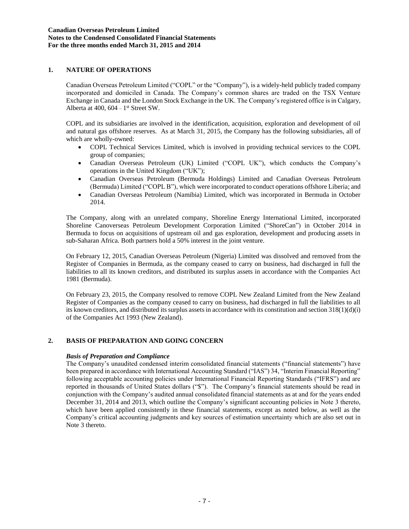# **1. NATURE OF OPERATIONS**

Canadian Overseas Petroleum Limited ("COPL" or the "Company"), is a widely-held publicly traded company incorporated and domiciled in Canada. The Company's common shares are traded on the TSX Venture Exchange in Canada and the London Stock Exchange in the UK. The Company's registered office is in Calgary, Alberta at  $400$ ,  $604 - 1$ <sup>st</sup> Street SW.

COPL and its subsidiaries are involved in the identification, acquisition, exploration and development of oil and natural gas offshore reserves. As at March 31, 2015, the Company has the following subsidiaries, all of which are wholly-owned:

- COPL Technical Services Limited, which is involved in providing technical services to the COPL group of companies;
- Canadian Overseas Petroleum (UK) Limited ("COPL UK"), which conducts the Company's operations in the United Kingdom ("UK");
- Canadian Overseas Petroleum (Bermuda Holdings) Limited and Canadian Overseas Petroleum (Bermuda) Limited ("COPL B"), which were incorporated to conduct operations offshore Liberia; and
- Canadian Overseas Petroleum (Namibia) Limited, which was incorporated in Bermuda in October 2014.

The Company, along with an unrelated company, Shoreline Energy International Limited, incorporated Shoreline Canoverseas Petroleum Development Corporation Limited ("ShoreCan") in October 2014 in Bermuda to focus on acquisitions of upstream oil and gas exploration, development and producing assets in sub-Saharan Africa. Both partners hold a 50% interest in the joint venture.

On February 12, 2015, Canadian Overseas Petroleum (Nigeria) Limited was dissolved and removed from the Register of Companies in Bermuda, as the company ceased to carry on business, had discharged in full the liabilities to all its known creditors, and distributed its surplus assets in accordance with the Companies Act 1981 (Bermuda).

On February 23, 2015, the Company resolved to remove COPL New Zealand Limited from the New Zealand Register of Companies as the company ceased to carry on business, had discharged in full the liabilities to all its known creditors, and distributed its surplus assets in accordance with its constitution and section  $318(1)(d)(i)$ of the Companies Act 1993 (New Zealand).

## **2. BASIS OF PREPARATION AND GOING CONCERN**

#### *Basis of Preparation and Compliance*

The Company's unaudited condensed interim consolidated financial statements ("financial statements") have been prepared in accordance with International Accounting Standard ("IAS") 34, "Interim Financial Reporting" following acceptable accounting policies under International Financial Reporting Standards ("IFRS") and are reported in thousands of United States dollars ("\$"). The Company's financial statements should be read in conjunction with the Company's audited annual consolidated financial statements as at and for the years ended December 31, 2014 and 2013, which outline the Company's significant accounting policies in Note 3 thereto, which have been applied consistently in these financial statements, except as noted below, as well as the Company's critical accounting judgments and key sources of estimation uncertainty which are also set out in Note 3 thereto.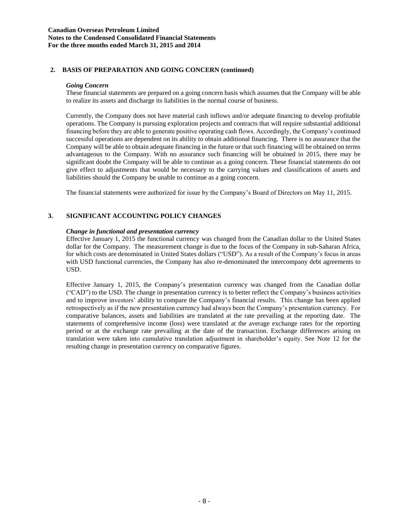### **Canadian Overseas Petroleum Limited Notes to the Condensed Consolidated Financial Statements For the three months ended March 31, 2015 and 2014**

## **2. BASIS OF PREPARATION AND GOING CONCERN (continued)**

#### *Going Concern*

These financial statements are prepared on a going concern basis which assumes that the Company will be able to realize its assets and discharge its liabilities in the normal course of business.

Currently, the Company does not have material cash inflows and/or adequate financing to develop profitable operations. The Company is pursuing exploration projects and contracts that will require substantial additional financing before they are able to generate positive operating cash flows. Accordingly, the Company's continued successful operations are dependent on its ability to obtain additional financing. There is no assurance that the Company will be able to obtain adequate financing in the future or that such financing will be obtained on terms advantageous to the Company. With no assurance such financing will be obtained in 2015, there may be significant doubt the Company will be able to continue as a going concern. These financial statements do not give effect to adjustments that would be necessary to the carrying values and classifications of assets and liabilities should the Company be unable to continue as a going concern.

The financial statements were authorized for issue by the Company's Board of Directors on May 11, 2015.

# **3. SIGNIFICANT ACCOUNTING POLICY CHANGES**

#### *Change in functional and presentation currency*

Effective January 1, 2015 the functional currency was changed from the Canadian dollar to the United States dollar for the Company. The measurement change is due to the focus of the Company in sub-Saharan Africa, for which costs are denominated in United States dollars ("USD"). As a result of the Company's focus in areas with USD functional currencies, the Company has also re-denominated the intercompany debt agreements to USD.

Effective January 1, 2015, the Company's presentation currency was changed from the Canadian dollar ("CAD") to the USD. The change in presentation currency is to better reflect the Company's business activities and to improve investors' ability to compare the Company's financial results. This change has been applied retrospectively as if the new presentation currency had always been the Company's presentation currency. For comparative balances, assets and liabilities are translated at the rate prevailing at the reporting date. The statements of comprehensive income (loss) were translated at the average exchange rates for the reporting period or at the exchange rate prevailing at the date of the transaction. Exchange differences arising on translation were taken into cumulative translation adjustment in shareholder's equity. See Note 12 for the resulting change in presentation currency on comparative figures.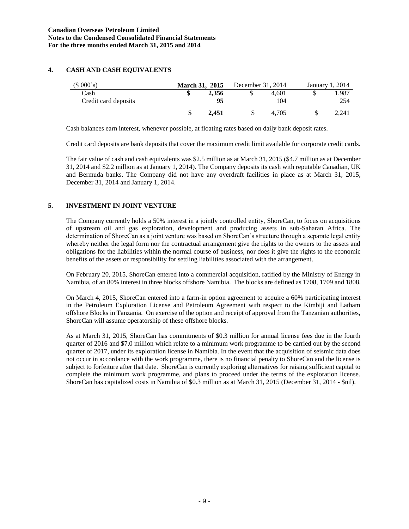# **4. CASH AND CASH EQUIVALENTS**

| (\$000's)            | <b>March 31, 2015</b> |       | December 31, 2014 |       | January 1. | 2014  |
|----------------------|-----------------------|-------|-------------------|-------|------------|-------|
| Cash                 | ۰D                    | 2,356 |                   | 4.601 | J)         | .,987 |
| Credit card deposits |                       | 95    |                   | 104   |            | 254   |
|                      | ۱D                    | 2.451 | J.                | 4.705 |            | 2.241 |

Cash balances earn interest, whenever possible, at floating rates based on daily bank deposit rates.

Credit card deposits are bank deposits that cover the maximum credit limit available for corporate credit cards.

The fair value of cash and cash equivalents was \$2.5 million as at March 31, 2015 (\$4.7 million as at December 31, 2014 and \$2.2 million as at January 1, 2014). The Company deposits its cash with reputable Canadian, UK and Bermuda banks. The Company did not have any overdraft facilities in place as at March 31, 2015, December 31, 2014 and January 1, 2014.

# **5. INVESTMENT IN JOINT VENTURE**

The Company currently holds a 50% interest in a jointly controlled entity, ShoreCan, to focus on acquisitions of upstream oil and gas exploration, development and producing assets in sub-Saharan Africa. The determination of ShoreCan as a joint venture was based on ShoreCan's structure through a separate legal entity whereby neither the legal form nor the contractual arrangement give the rights to the owners to the assets and obligations for the liabilities within the normal course of business, nor does it give the rights to the economic benefits of the assets or responsibility for settling liabilities associated with the arrangement.

On February 20, 2015, ShoreCan entered into a commercial acquisition, ratified by the Ministry of Energy in Namibia, of an 80% interest in three blocks offshore Namibia. The blocks are defined as 1708, 1709 and 1808.

On March 4, 2015, ShoreCan entered into a farm-in option agreement to acquire a 60% participating interest in the Petroleum Exploration License and Petroleum Agreement with respect to the Kimbiji and Latham offshore Blocks in Tanzania. On exercise of the option and receipt of approval from the Tanzanian authorities, ShoreCan will assume operatorship of these offshore blocks.

As at March 31, 2015, ShoreCan has commitments of \$0.3 million for annual license fees due in the fourth quarter of 2016 and \$7.0 million which relate to a minimum work programme to be carried out by the second quarter of 2017, under its exploration license in Namibia. In the event that the acquisition of seismic data does not occur in accordance with the work programme, there is no financial penalty to ShoreCan and the license is subject to forfeiture after that date. ShoreCan is currently exploring alternatives for raising sufficient capital to complete the minimum work programme, and plans to proceed under the terms of the exploration license. ShoreCan has capitalized costs in Namibia of \$0.3 million as at March 31, 2015 (December 31, 2014 - \$nil).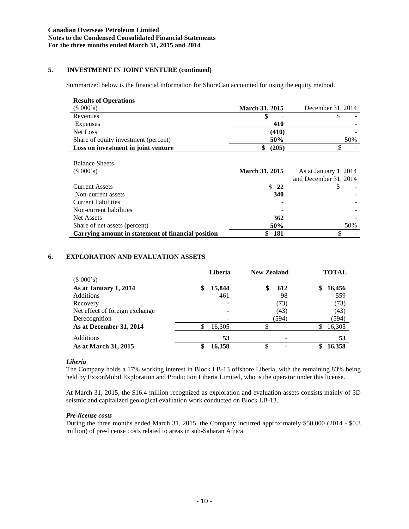# **5. INVESTMENT IN JOINT VENTURE (continued)**

Summarized below is the financial information for ShoreCan accounted for using the equity method.

| <b>Results of Operations</b>                       |                       |                       |
|----------------------------------------------------|-----------------------|-----------------------|
| (\$000's)                                          | <b>March 31, 2015</b> | December 31, 2014     |
| Revenues                                           | \$                    | S                     |
| Expenses                                           | 410                   |                       |
| Net Loss                                           | (410)                 |                       |
| Share of equity investment (percent)               | 50%                   | 50%                   |
| Loss on investment in joint venture                | (205)<br>\$           |                       |
|                                                    |                       |                       |
| <b>Balance Sheets</b>                              |                       |                       |
| (\$000's)                                          | <b>March 31, 2015</b> | As at January 1, 2014 |
|                                                    |                       | and December 31, 2014 |
| <b>Current Assets</b>                              | $\frac{1}{22}$        |                       |
| Non-current assets                                 | <b>340</b>            |                       |
| Current liabilities                                |                       |                       |
| Non-current liabilities                            |                       |                       |
| <b>Net Assets</b>                                  | 362                   |                       |
| Share of net assets (percent)                      | 50%                   | 50%                   |
| Carrying amount in statement of financial position | \$<br>181             |                       |

## **6. EXPLORATION AND EVALUATION ASSETS**

|                                |    | Liberia | <b>New Zealand</b> |       | <b>TOTAL</b> |
|--------------------------------|----|---------|--------------------|-------|--------------|
| (\$000's)                      |    |         |                    |       |              |
| As at January 1, 2014          | \$ | 15,844  |                    | 612   | \$<br>16,456 |
| <b>Additions</b>               |    | 461     |                    | 98    | 559          |
| Recovery                       |    |         |                    | (73)  | (73)         |
| Net effect of foreign exchange |    | ۰       |                    | (43)  | (43)         |
| Derecognition                  |    |         |                    | (594) | (594)        |
| As at December 31, 2014        | \$ | 16,305  |                    |       | \$<br>16,305 |
| Additions                      |    | 53      |                    |       | 53           |
| As at March 31, 2015           | ው  | 16.358  | \$                 |       | 16,358       |

## *Liberia*

The Company holds a 17% working interest in Block LB-13 offshore Liberia, with the remaining 83% being held by ExxonMobil Exploration and Production Liberia Limited, who is the operator under this license.

At March 31, 2015, the \$16.4 million recognized as exploration and evaluation assets consists mainly of 3D seismic and capitalized geological evaluation work conducted on Block LB-13.

#### *Pre-license costs*

During the three months ended March 31, 2015, the Company incurred approximately \$50,000 (2014 - \$0.3 million) of pre-license costs related to areas in sub-Saharan Africa.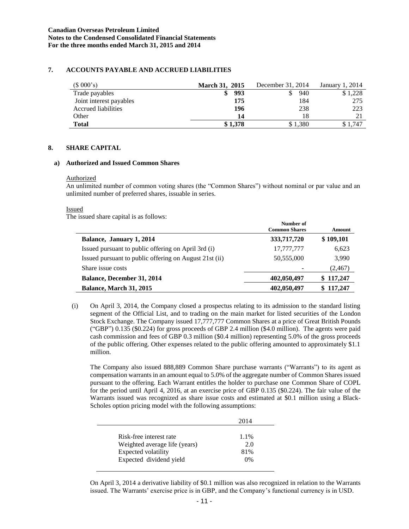# **7. ACCOUNTS PAYABLE AND ACCRUED LIABILITIES**

| (\$000's)               | <b>March 31, 2015</b> | December 31, 2014 | January 1, 2014 |
|-------------------------|-----------------------|-------------------|-----------------|
| Trade payables          | 993                   | 940               | \$1,228         |
| Joint interest payables | 175                   | 184               | 275             |
| Accrued liabilities     | 196                   | 238               | 223             |
| Other                   | 14                    | 18                | 21              |
| <b>Total</b>            | \$1.378               | \$1.380           | \$1.747         |

#### **8. SHARE CAPITAL**

#### **a) Authorized and Issued Common Shares**

#### Authorized

An unlimited number of common voting shares (the "Common Shares") without nominal or par value and an unlimited number of preferred shares, issuable in series.

#### Issued

The issued share capital is as follows:

and the

|                                                        | Number of<br><b>Common Shares</b> | Amount    |
|--------------------------------------------------------|-----------------------------------|-----------|
| Balance, January 1, 2014                               | 333,717,720                       | \$109,101 |
| Issued pursuant to public offering on April 3rd (i)    | 17,777,777                        | 6,623     |
| Issued pursuant to public offering on August 21st (ii) | 50,555,000                        | 3,990     |
| Share issue costs                                      |                                   | (2,467)   |
| Balance, December 31, 2014                             | 402,050,497                       | \$117,247 |
| Balance, March 31, 2015                                | 402,050,497                       | \$117,247 |

(i) On April 3, 2014, the Company closed a prospectus relating to its admission to the standard listing segment of the Official List, and to trading on the main market for listed securities of the London Stock Exchange. The Company issued 17,777,777 Common Shares at a price of Great British Pounds ("GBP") 0.135 (\$0.224) for gross proceeds of GBP 2.4 million (\$4.0 million). The agents were paid cash commission and fees of GBP 0.3 million (\$0.4 million) representing 5.0% of the gross proceeds of the public offering. Other expenses related to the public offering amounted to approximately \$1.1 million.

The Company also issued 888,889 Common Share purchase warrants ("Warrants") to its agent as compensation warrants in an amount equal to 5.0% of the aggregate number of Common Shares issued pursuant to the offering. Each Warrant entitles the holder to purchase one Common Share of COPL for the period until April 4, 2016, at an exercise price of GBP 0.135 (\$0.224). The fair value of the Warrants issued was recognized as share issue costs and estimated at \$0.1 million using a Black-Scholes option pricing model with the following assumptions:

|                               | 2014  |
|-------------------------------|-------|
| Risk-free interest rate       | 1.1%  |
| Weighted average life (years) | 2.0   |
| Expected volatility           | 81%   |
| Expected dividend yield       | $0\%$ |

On April 3, 2014 a derivative liability of \$0.1 million was also recognized in relation to the Warrants issued. The Warrants' exercise price is in GBP, and the Company's functional currency is in USD.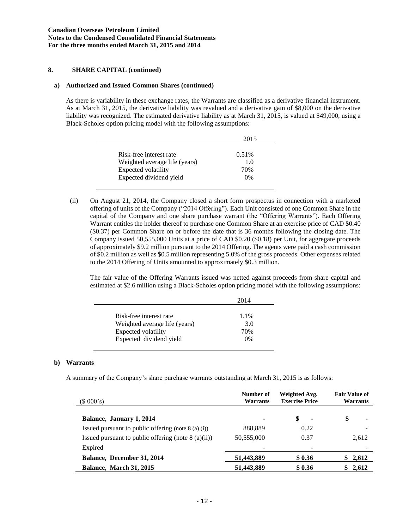## **8. SHARE CAPITAL (continued)**

### **a) Authorized and Issued Common Shares (continued)**

As there is variability in these exchange rates, the Warrants are classified as a derivative financial instrument. As at March 31, 2015, the derivative liability was revalued and a derivative gain of \$8,000 on the derivative liability was recognized. The estimated derivative liability as at March 31, 2015, is valued at \$49,000, using a Black-Scholes option pricing model with the following assumptions:

|                               | 2015     |
|-------------------------------|----------|
| Risk-free interest rate       | $0.51\%$ |
| Weighted average life (years) | 1.0      |
| Expected volatility           | 70%      |
| Expected dividend yield       | 0%       |

(ii) On August 21, 2014, the Company closed a short form prospectus in connection with a marketed offering of units of the Company ("2014 Offering"). Each Unit consisted of one Common Share in the capital of the Company and one share purchase warrant (the "Offering Warrants"). Each Offering Warrant entitles the holder thereof to purchase one Common Share at an exercise price of CAD \$0.40 (\$0.37) per Common Share on or before the date that is 36 months following the closing date. The Company issued 50,555,000 Units at a price of CAD \$0.20 (\$0.18) per Unit, for aggregate proceeds of approximately \$9.2 million pursuant to the 2014 Offering. The agents were paid a cash commission of \$0.2 million as well as \$0.5 million representing 5.0% of the gross proceeds. Other expenses related to the 2014 Offering of Units amounted to approximately \$0.3 million.

The fair value of the Offering Warrants issued was netted against proceeds from share capital and estimated at \$2.6 million using a Black-Scholes option pricing model with the following assumptions:

|                                                | 2014         |
|------------------------------------------------|--------------|
| Risk-free interest rate                        | 1.1%         |
| Weighted average life (years)                  | 3.0          |
| Expected volatility<br>Expected dividend yield | 70%<br>$0\%$ |
|                                                |              |

## **b) Warrants**

A summary of the Company's share purchase warrants outstanding at March 31, 2015 is as follows:

| (\$000's)                                             | Number of<br><b>Warrants</b> | Weighted Avg.<br><b>Exercise Price</b> | <b>Fair Value of</b><br>Warrants |
|-------------------------------------------------------|------------------------------|----------------------------------------|----------------------------------|
| Balance, January 1, 2014                              |                              | \$<br>$\blacksquare$                   | \$                               |
| Issued pursuant to public offering (note $8$ (a) (i)) | 888,889                      | 0.22                                   |                                  |
| Issued pursuant to public offering (note $8$ (a)(ii)) | 50,555,000                   | 0.37                                   | 2,612                            |
| Expired                                               |                              |                                        |                                  |
| Balance, December 31, 2014                            | 51,443,889                   | \$0.36                                 | \$2,612                          |
| <b>Balance, March 31, 2015</b>                        | 51,443,889                   | \$0.36                                 | \$2,612                          |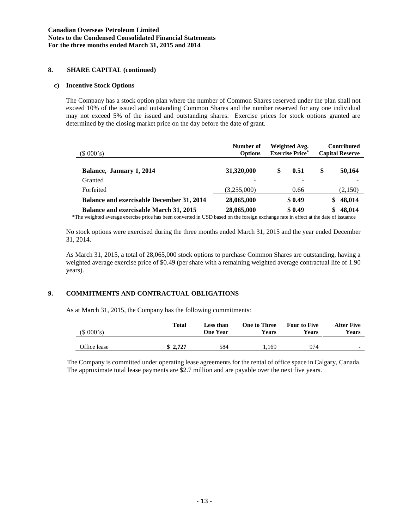## **8. SHARE CAPITAL (continued)**

### **c) Incentive Stock Options**

The Company has a stock option plan where the number of Common Shares reserved under the plan shall not exceed 10% of the issued and outstanding Common Shares and the number reserved for any one individual may not exceed 5% of the issued and outstanding shares. Exercise prices for stock options granted are determined by the closing market price on the day before the date of grant.

| (\$000's)                                        | Number of<br><b>Options</b> | Weighted Avg.<br><b>Exercise Price*</b> | <b>Contributed</b><br><b>Capital Reserve</b> |  |
|--------------------------------------------------|-----------------------------|-----------------------------------------|----------------------------------------------|--|
| Balance, January 1, 2014                         | 31,320,000                  | 0.51<br>\$                              | \$<br>50,164                                 |  |
| Granted                                          | $\overline{\phantom{a}}$    |                                         |                                              |  |
| Forfeited                                        | (3,255,000)                 | 0.66                                    | (2,150)                                      |  |
| <b>Balance and exercisable December 31, 2014</b> | 28,065,000                  | \$0.49                                  | 48,014<br>S                                  |  |
| Balance and exercisable March 31, 2015           | 28,065,000                  | \$0.49                                  | 48,014                                       |  |

\*The weighted average exercise price has been converted in USD based on the foreign exchange rate in effect at the date of issuance

No stock options were exercised during the three months ended March 31, 2015 and the year ended December 31, 2014.

As March 31, 2015, a total of 28,065,000 stock options to purchase Common Shares are outstanding, having a weighted average exercise price of \$0.49 (per share with a remaining weighted average contractual life of 1.90 years).

## **9. COMMITMENTS AND CONTRACTUAL OBLIGATIONS**

As at March 31, 2015, the Company has the following commitments:

| (\$000's)    | Total   | Less than<br>One Year | <b>One to Three</b><br>Years | <b>Four to Five</b><br>Years | <b>After Five</b><br>Years |
|--------------|---------|-----------------------|------------------------------|------------------------------|----------------------------|
| Office lease | \$2.727 | 584                   | l.169                        | 974                          | $\overline{\phantom{0}}$   |

The Company is committed under operating lease agreements for the rental of office space in Calgary, Canada. The approximate total lease payments are \$2.7 million and are payable over the next five years.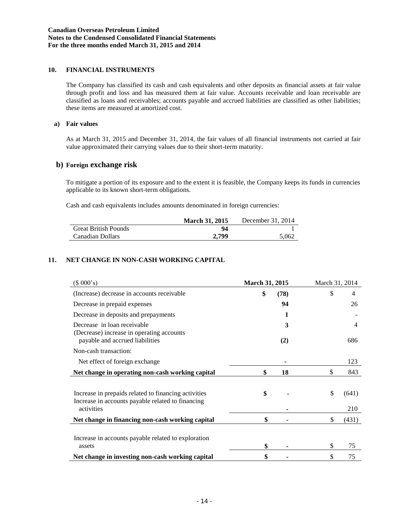# **10. FINANCIAL INSTRUMENTS**

The Company has classified its cash and cash equivalents and other deposits as financial assets at fair value through profit and loss and has measured them at fair value. Accounts receivable and loan receivable are classified as loans and receivables; accounts payable and accrued liabilities are classified as other liabilities; these items are measured at amortized cost.

#### **a) Fair values**

As at March 31, 2015 and December 31, 2014, the fair values of all financial instruments not carried at fair value approximated their carrying values due to their short-term maturity.

## **b) Foreign exchange risk**

To mitigate a portion of its exposure and to the extent it is feasible, the Company keeps its funds in currencies applicable to its known short-term obligations.

Cash and cash equivalents includes amounts denominated in foreign currencies:

|                             | <b>March 31, 2015</b> | December 31, 2014 |
|-----------------------------|-----------------------|-------------------|
| <b>Great British Pounds</b> | 94                    |                   |
| Canadian Dollars            | 2.799                 | 5.062             |

## **11. NET CHANGE IN NON-CASH WORKING CAPITAL**

| (\$000's)                                                                                                 | March 31, 2015 |      | March 31, 2014 |                |
|-----------------------------------------------------------------------------------------------------------|----------------|------|----------------|----------------|
| (Increase) decrease in accounts receivable                                                                | \$             | (78) | \$             | 4              |
| Decrease in prepaid expenses                                                                              |                | 94   |                | 26             |
| Decrease in deposits and prepayments                                                                      |                | 1    |                |                |
| Decrease in loan receivable                                                                               |                | 3    |                | $\overline{4}$ |
| (Decrease) increase in operating accounts<br>payable and accrued liabilities                              |                | (2)  |                | 686            |
| Non-cash transaction:                                                                                     |                |      |                |                |
| Net effect of foreign exchange                                                                            |                |      |                | 123            |
| Net change in operating non-cash working capital                                                          | \$             | 18   | \$             | 843            |
|                                                                                                           |                |      |                |                |
| Increase in prepaids related to financing activities<br>Increase in accounts payable related to financing | \$             |      | \$             | (641)          |
| activities                                                                                                |                |      |                | 210            |
| Net change in financing non-cash working capital                                                          | \$             |      | \$             | (431)          |
|                                                                                                           |                |      |                |                |
| Increase in accounts payable related to exploration                                                       |                |      |                |                |
| assets                                                                                                    | \$             |      | \$             | 75             |
| Net change in investing non-cash working capital                                                          | \$             |      | \$             | 75             |